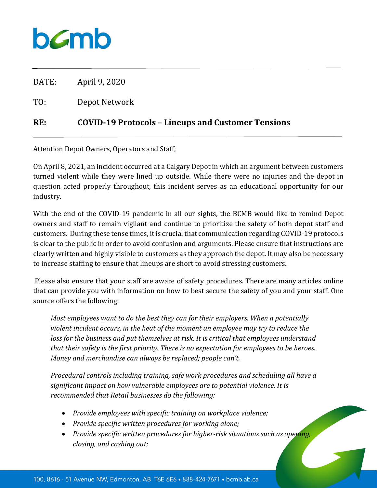

DATE: April 9, 2020

TO: Depot Network

## **RE: COVID-19 Protocols – Lineups and Customer Tensions**

Attention Depot Owners, Operators and Staff,

On April 8, 2021, an incident occurred at a Calgary Depot in which an argument between customers turned violent while they were lined up outside. While there were no injuries and the depot in question acted properly throughout, this incident serves as an educational opportunity for our industry.

With the end of the COVID-19 pandemic in all our sights, the BCMB would like to remind Depot owners and staff to remain vigilant and continue to prioritize the safety of both depot staff and customers. During these tense times, it is crucial that communication regarding COVID-19 protocols is clear to the public in order to avoid confusion and arguments. Please ensure that instructions are clearly written and highly visible to customers as they approach the depot. It may also be necessary to increase staffing to ensure that lineups are short to avoid stressing customers.

Please also ensure that your staff are aware of safety procedures. There are many articles online that can provide you with information on how to best secure the safety of you and your staff. One source offers the following:

*Most employees want to do the best they can for their employers. When a potentially violent incident occurs, in the heat of the moment an employee may try to reduce the loss for the business and put themselves at risk. It is critical that employees understand that their safety is the first priority. There is no expectation for employees to be heroes. Money and merchandise can always be replaced; people can't.*

*Procedural controls including training, safe work procedures and scheduling all have a significant impact on how vulnerable employees are to potential violence. It is recommended that Retail businesses do the following:*

- *Provide employees with specific training on workplace violence;*
- *Provide specific written procedures for working alone;*
- *Provide specific written procedures for higher-risk situations such as opening, closing, and cashing out;*